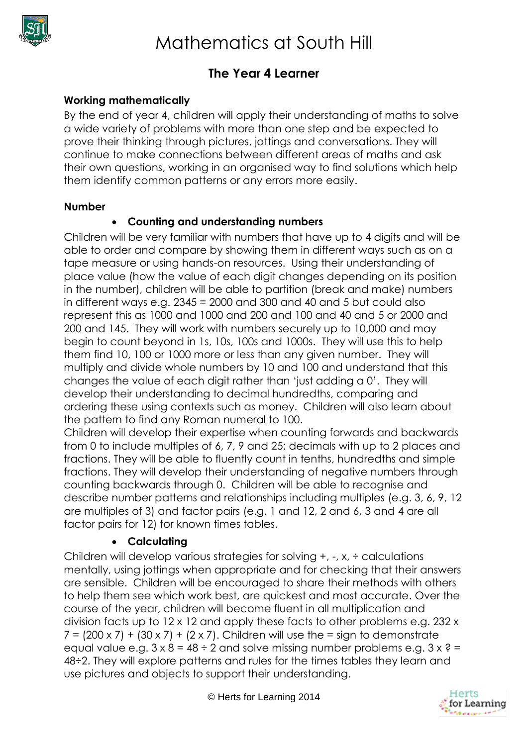

# **The Year 4 Learner**

## **Working mathematically**

By the end of year 4, children will apply their understanding of maths to solve a wide variety of problems with more than one step and be expected to prove their thinking through pictures, jottings and conversations. They will continue to make connections between different areas of maths and ask their own questions, working in an organised way to find solutions which help them identify common patterns or any errors more easily.

#### **Number**

## **Counting and understanding numbers**

Children will be very familiar with numbers that have up to 4 digits and will be able to order and compare by showing them in different ways such as on a tape measure or using hands-on resources. Using their understanding of place value (how the value of each digit changes depending on its position in the number), children will be able to partition (break and make) numbers in different ways e.g. 2345 = 2000 and 300 and 40 and 5 but could also represent this as 1000 and 1000 and 200 and 100 and 40 and 5 or 2000 and 200 and 145. They will work with numbers securely up to 10,000 and may begin to count beyond in 1s, 10s, 100s and 1000s. They will use this to help them find 10, 100 or 1000 more or less than any given number. They will multiply and divide whole numbers by 10 and 100 and understand that this changes the value of each digit rather than 'just adding a 0'. They will develop their understanding to decimal hundredths, comparing and ordering these using contexts such as money. Children will also learn about the pattern to find any Roman numeral to 100.

Children will develop their expertise when counting forwards and backwards from 0 to include multiples of 6, 7, 9 and 25; decimals with up to 2 places and fractions. They will be able to fluently count in tenths, hundredths and simple fractions. They will develop their understanding of negative numbers through counting backwards through 0. Children will be able to recognise and describe number patterns and relationships including multiples (e.g. 3, 6, 9, 12 are multiples of 3) and factor pairs (e.g. 1 and 12, 2 and 6, 3 and 4 are all factor pairs for 12) for known times tables.

#### **Calculating**

Children will develop various strategies for solving +, -, x, ÷ calculations mentally, using jottings when appropriate and for checking that their answers are sensible. Children will be encouraged to share their methods with others to help them see which work best, are quickest and most accurate. Over the course of the year, children will become fluent in all multiplication and division facts up to 12 x 12 and apply these facts to other problems e.g. 232 x  $7 = (200 \times 7) + (30 \times 7) + (2 \times 7)$ . Children will use the = sign to demonstrate equal value e.g.  $3 \times 8 = 48 \div 2$  and solve missing number problems e.g.  $3 \times ? =$ 48÷2. They will explore patterns and rules for the times tables they learn and use pictures and objects to support their understanding.